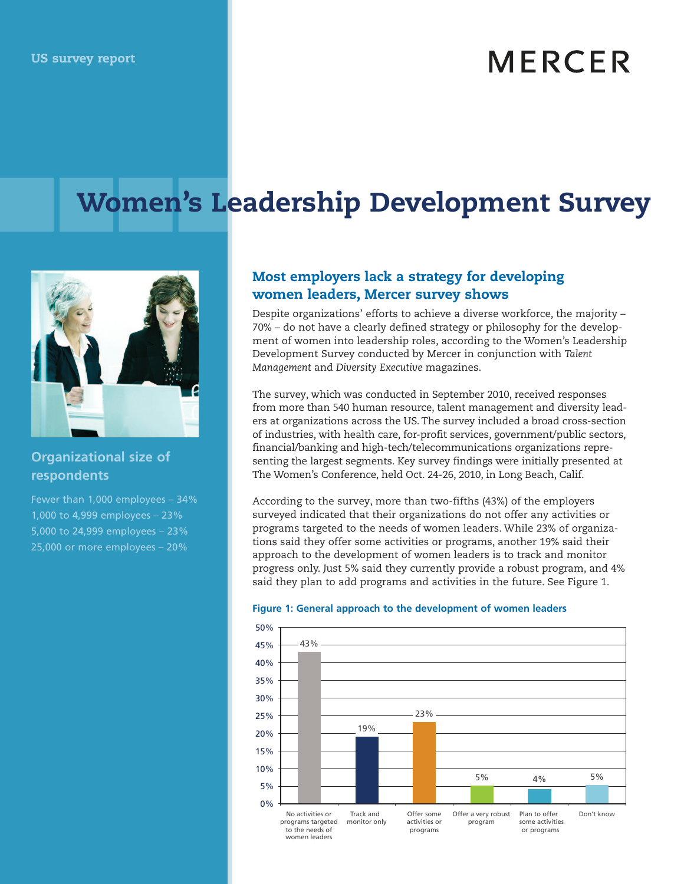# **MERCER**

## Women's Leadership Development Survey



## **Organizational size of respondents**

Fewer than 1,000 employees – 34% 1,000 to 4,999 employees – 23% 5,000 to 24,999 employees – 23% 25,000 or more employees – 20%

## Most employers lack a strategy for developing women leaders, Mercer survey shows

Despite organizations' efforts to achieve a diverse workforce, the majority – 70% – do not have a clearly defined strategy or philosophy for the development of women into leadership roles, according to the Women's Leadership Development Survey conducted by Mercer in conjunction with *Talent Management* and *Diversity Executive* magazines.

The survey, which was conducted in September 2010, received responses from more than 540 human resource, talent management and diversity leaders at organizations across the US. The survey included a broad cross-section of industries, with health care, for-profit services, government/public sectors, financial/banking and high-tech/telecommunications organizations representing the largest segments. Key survey findings were initially presented at The Women's Conference, held Oct. 24-26, 2010, in Long Beach, Calif.

According to the survey, more than two-fifths (43%) of the employers surveyed indicated that their organizations do not offer any activities or programs targeted to the needs of women leaders. While 23% of organizations said they offer some activities or programs, another 19% said their approach to the development of women leaders is to track and monitor progress only. Just 5% said they currently provide a robust program, and 4% said they plan to add programs and activities in the future. See Figure 1.



#### **Figure 1: General approach to the development of women leaders**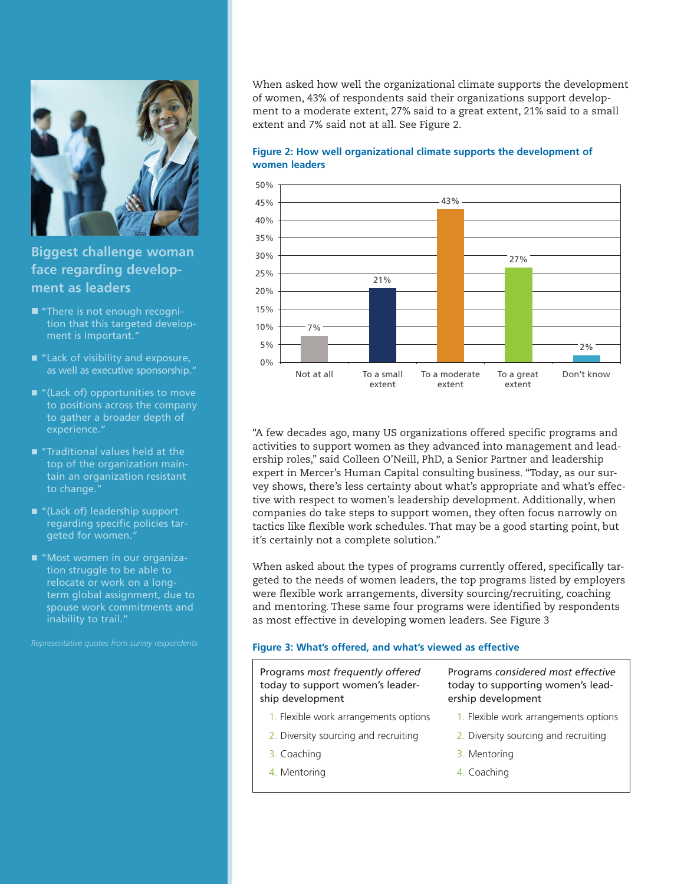

**Biggest challenge woman face regarding development as leaders**

- "There is not enough recognition that this targeted development is important."
- "Lack of visibility and exposure, as well as executive sponsorship."
- $\blacksquare$  "(Lack of) opportunities to move to positions across the company to gather a broader depth of experience."
- **Taditional values held at the** top of the organization maintain an organization resistant to change."
- "(Lack of) leadership support regarding specific policies targeted for women."
- "Most women in our organization struggle to be able to relocate or work on a longterm global assignment, due to spouse work commitments and inability to trail."

When asked how well the organizational climate supports the development of women, 43% of respondents said their organizations support development to a moderate extent, 27% said to a great extent, 21% said to a small extent and 7% said not at all. See Figure 2.





"A few decades ago, many US organizations offered specific programs and activities to support women as they advanced into management and leadership roles," said Colleen O'Neill, PhD, a Senior Partner and leadership expert in Mercer's Human Capital consulting business. "Today, as our survey shows, there's less certainty about what's appropriate and what's effective with respect to women's leadership development. Additionally, when companies do take steps to support women, they often focus narrowly on tactics like flexible work schedules. That may be a good starting point, but it's certainly not a complete solution."

When asked about the types of programs currently offered, specifically targeted to the needs of women leaders, the top programs listed by employers were flexible work arrangements, diversity sourcing/recruiting, coaching and mentoring. These same four programs were identified by respondents as most effective in developing women leaders. See Figure 3

#### **Figure 3: What's offered, and what's viewed as effective**

Programs *most frequently offered* today to support women's leadership development

- 1. Flexible work arrangements options
- 2. Diversity sourcing and recruiting
- 3. Coaching
- 4. Mentoring

Programs *considered most effective* today to supporting women's leadership development

- 1. Flexible work arrangements options
- 2. Diversity sourcing and recruiting
- 3. Mentoring
- 4. Coaching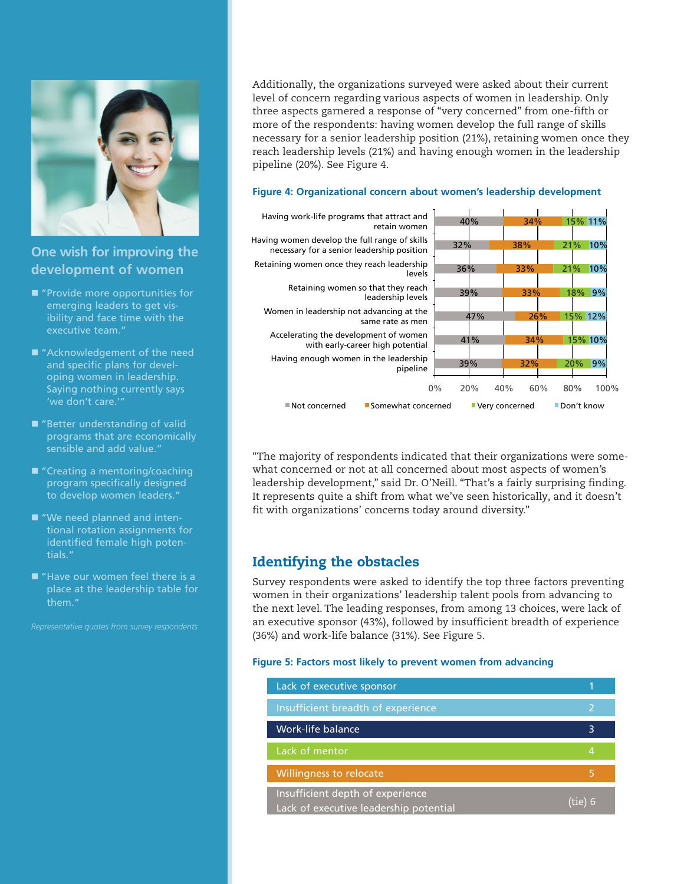

## **One wish for improving the development of women**

- $\blacksquare$  "Provide more opportunities for emerging leaders to get visibility and face time with the executive team."
- "Acknowledgement of the need and specific plans for developing women in leadership. Saying nothing currently says 'we don't care.'"
- "Better understanding of valid programs that are economically sensible and add value."
- "Creating a mentoring/coaching program specifically designed to develop women leaders."
- "We need planned and intentional rotation assignments for identified female high potentials."
- "Have our women feel there is a place at the leadership table for them."

Additionally, the organizations surveyed were asked about their current level of concern regarding various aspects of women in leadership. Only three aspects garnered a response of "very concerned" from one-fifth or more of the respondents: having women develop the full range of skills necessary for a senior leadership position (21%), retaining women once they reach leadership levels (21%) and having enough women in the leadership pipeline (20%). See Figure 4.

#### **Figure 4: Organizational concern about women's leadership development**



"The majority of respondents indicated that their organizations were somewhat concerned or not at all concerned about most aspects of women's leadership development," said Dr. O'Neill. "That's a fairly surprising finding. It represents quite a shift from what we've seen historically, and it doesn't fit with organizations' concerns today around diversity."

## Identifying the obstacles

Survey respondents were asked to identify the top three factors preventing women in their organizations' leadership talent pools from advancing to the next level. The leading responses, from among 13 choices, were lack of an executive sponsor (43%), followed by insufficient breadth of experience (36%) and work-life balance (31%). See Figure 5.

#### **Figure 5: Factors most likely to prevent women from advancing**

| Lack of executive sponsor                                                  |         |
|----------------------------------------------------------------------------|---------|
| Insufficient breadth of experience                                         |         |
| Work-life balance                                                          | 3       |
| Lack of mentor                                                             | 4       |
| <b>Willingness to relocate</b>                                             | 5       |
| Insufficient depth of experience<br>Lack of executive leadership potential | (tie) 6 |